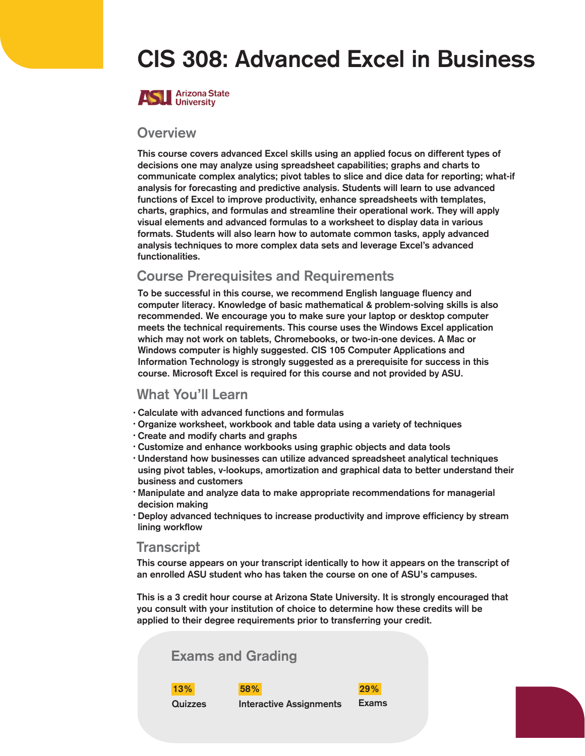# CIS 308: Advanced Excel in Business



#### **Overview**

This course covers advanced Excel skills using an applied focus on different types of decisions one may analyze using spreadsheet capabilities; graphs and charts to communicate complex analytics; pivot tables to slice and dice data for reporting; what-if analysis for forecasting and predictive analysis. Students will learn to use advanced functions of Excel to improve productivity, enhance spreadsheets with templates, charts, graphics, and formulas and streamline their operational work. They will apply visual elements and advanced formulas to a worksheet to display data in various formats. Students will also learn how to automate common tasks, apply advanced analysis techniques to more complex data sets and leverage Excel's advanced functionalities.

#### Course Prerequisites and Requirements

To be successful in this course, we recommend English language fluency and computer literacy. Knowledge of basic mathematical & problem-solving skills is also recommended. We encourage you to make sure your laptop or desktop computer meets the technical requirements. This course uses the Windows Excel application which may not work on tablets, Chromebooks, or two-in-one devices. A Mac or Windows computer is highly suggested. CIS 105 Computer Applications and Information Technology is strongly suggested as a prerequisite for success in this course. Microsoft Excel is required for this course and not provided by ASU.

#### What You'll Learn

- Calculate with advanced functions and formulas •
- Organize worksheet, workbook and table data using a variety of techniques •
- Create and modify charts and graphs •
- Customize and enhance workbooks using graphic objects and data tools •
- Understand how businesses can utilize advanced spreadsheet analytical techniques using pivot tables, v-lookups, amortization and graphical data to better understand their business and customers
- · Manipulate and analyze data to make appropriate recommendations for managerial decision making
- $\cdot$  Deploy advanced techniques to increase productivity and improve efficiency by stream lining workflow

#### **Transcript**

This course appears on your transcript identically to how it appears on the transcript of an enrolled ASU student who has taken the course on one of ASU's campuses.

This is a 3 credit hour course at Arizona State University. It is strongly encouraged that you consult with your institution of choice to determine how these credits will be applied to their degree requirements prior to transferring your credit.

| <b>Exams and Grading</b> |                                |              |  |
|--------------------------|--------------------------------|--------------|--|
| 13%                      | 58%                            | 29%          |  |
| Quizzes                  | <b>Interactive Assignments</b> | <b>Exams</b> |  |